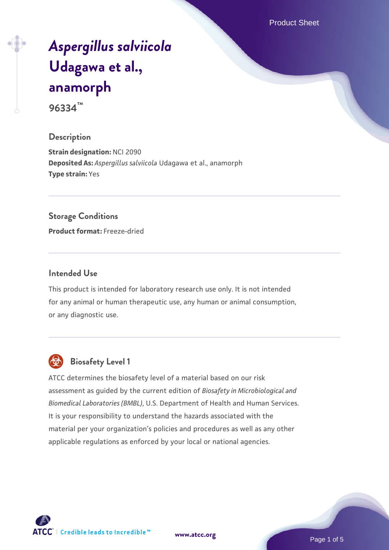Product Sheet

# *[Aspergillus salviicola](https://www.atcc.org/products/96334)* **[Udagawa et al.,](https://www.atcc.org/products/96334) [anamorph](https://www.atcc.org/products/96334)**

**96334™**

## **Description**

**Strain designation:** NCI 2090 **Deposited As:** *Aspergillus salviicola* Udagawa et al., anamorph **Type strain:** Yes

#### **Storage Conditions**

**Product format:** Freeze-dried

## **Intended Use**

This product is intended for laboratory research use only. It is not intended for any animal or human therapeutic use, any human or animal consumption, or any diagnostic use.



# **Biosafety Level 1**

ATCC determines the biosafety level of a material based on our risk assessment as guided by the current edition of *Biosafety in Microbiological and Biomedical Laboratories (BMBL)*, U.S. Department of Health and Human Services. It is your responsibility to understand the hazards associated with the material per your organization's policies and procedures as well as any other applicable regulations as enforced by your local or national agencies.

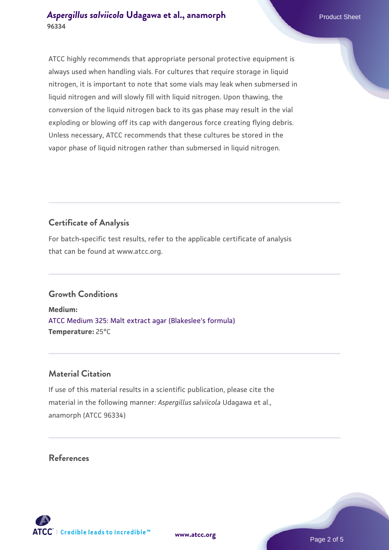ATCC highly recommends that appropriate personal protective equipment is always used when handling vials. For cultures that require storage in liquid nitrogen, it is important to note that some vials may leak when submersed in liquid nitrogen and will slowly fill with liquid nitrogen. Upon thawing, the conversion of the liquid nitrogen back to its gas phase may result in the vial exploding or blowing off its cap with dangerous force creating flying debris. Unless necessary, ATCC recommends that these cultures be stored in the vapor phase of liquid nitrogen rather than submersed in liquid nitrogen.

# **Certificate of Analysis**

For batch-specific test results, refer to the applicable certificate of analysis that can be found at www.atcc.org.

# **Growth Conditions**

**Medium:**  [ATCC Medium 325: Malt extract agar \(Blakeslee's formula\)](https://www.atcc.org/-/media/product-assets/documents/microbial-media-formulations/3/2/5/atcc-medium-325.pdf?rev=146ec77015184a96912232dcb12386f9) **Temperature:** 25°C

## **Material Citation**

If use of this material results in a scientific publication, please cite the material in the following manner: *Aspergillus salviicola* Udagawa et al., anamorph (ATCC 96334)

## **References**



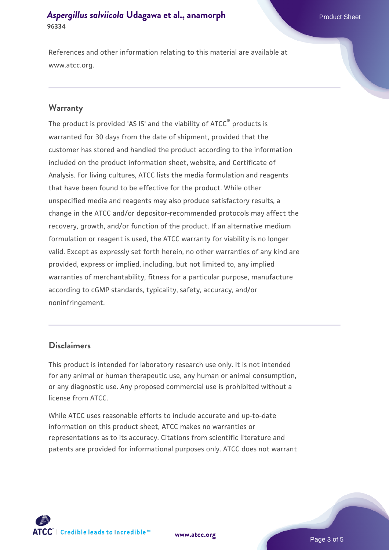References and other information relating to this material are available at www.atcc.org.

#### **Warranty**

The product is provided 'AS IS' and the viability of ATCC® products is warranted for 30 days from the date of shipment, provided that the customer has stored and handled the product according to the information included on the product information sheet, website, and Certificate of Analysis. For living cultures, ATCC lists the media formulation and reagents that have been found to be effective for the product. While other unspecified media and reagents may also produce satisfactory results, a change in the ATCC and/or depositor-recommended protocols may affect the recovery, growth, and/or function of the product. If an alternative medium formulation or reagent is used, the ATCC warranty for viability is no longer valid. Except as expressly set forth herein, no other warranties of any kind are provided, express or implied, including, but not limited to, any implied warranties of merchantability, fitness for a particular purpose, manufacture according to cGMP standards, typicality, safety, accuracy, and/or noninfringement.

## **Disclaimers**

This product is intended for laboratory research use only. It is not intended for any animal or human therapeutic use, any human or animal consumption, or any diagnostic use. Any proposed commercial use is prohibited without a license from ATCC.

While ATCC uses reasonable efforts to include accurate and up-to-date information on this product sheet, ATCC makes no warranties or representations as to its accuracy. Citations from scientific literature and patents are provided for informational purposes only. ATCC does not warrant

**[www.atcc.org](http://www.atcc.org)**



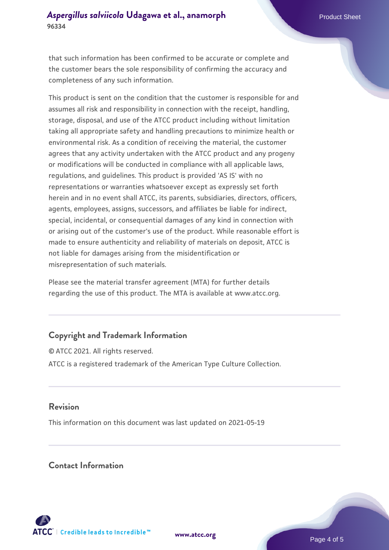that such information has been confirmed to be accurate or complete and the customer bears the sole responsibility of confirming the accuracy and completeness of any such information.

This product is sent on the condition that the customer is responsible for and assumes all risk and responsibility in connection with the receipt, handling, storage, disposal, and use of the ATCC product including without limitation taking all appropriate safety and handling precautions to minimize health or environmental risk. As a condition of receiving the material, the customer agrees that any activity undertaken with the ATCC product and any progeny or modifications will be conducted in compliance with all applicable laws, regulations, and guidelines. This product is provided 'AS IS' with no representations or warranties whatsoever except as expressly set forth herein and in no event shall ATCC, its parents, subsidiaries, directors, officers, agents, employees, assigns, successors, and affiliates be liable for indirect, special, incidental, or consequential damages of any kind in connection with or arising out of the customer's use of the product. While reasonable effort is made to ensure authenticity and reliability of materials on deposit, ATCC is not liable for damages arising from the misidentification or misrepresentation of such materials.

Please see the material transfer agreement (MTA) for further details regarding the use of this product. The MTA is available at www.atcc.org.

## **Copyright and Trademark Information**

© ATCC 2021. All rights reserved. ATCC is a registered trademark of the American Type Culture Collection.

## **Revision**

This information on this document was last updated on 2021-05-19

## **Contact Information**



**[www.atcc.org](http://www.atcc.org)**

Page 4 of 5